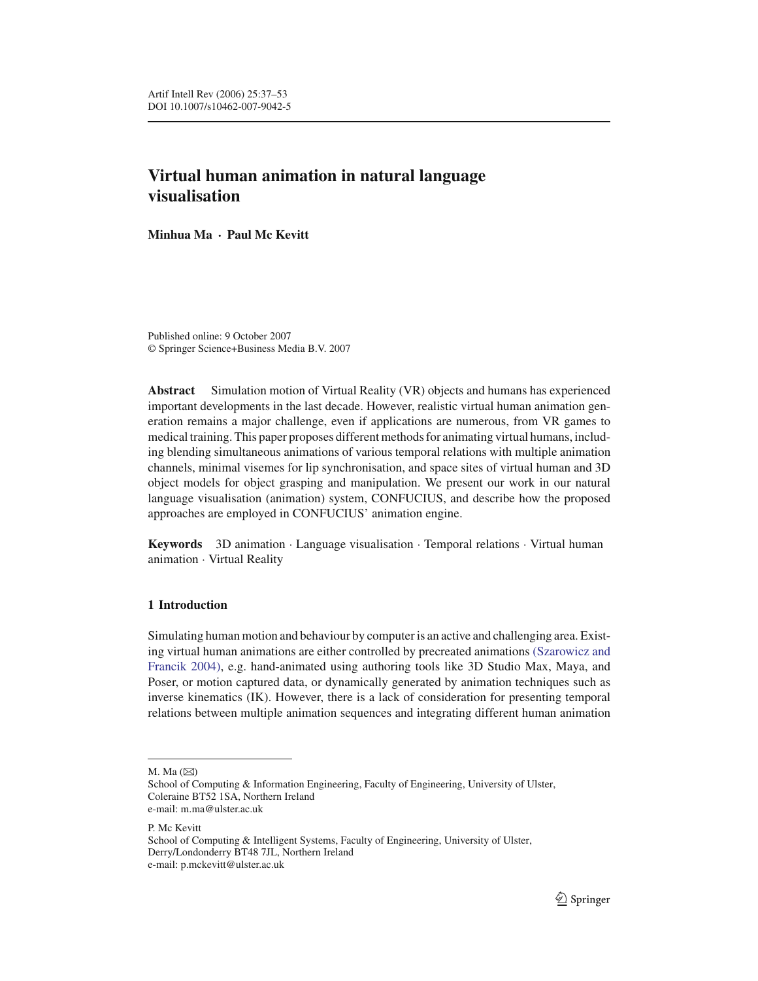# **Virtual human animation in natural language visualisation**

**Minhua Ma** · **Paul Mc Kevitt**

Published online: 9 October 2007 © Springer Science+Business Media B.V. 2007

**Abstract** Simulation motion of Virtual Reality (VR) objects and humans has experienced important developments in the last decade. However, realistic virtual human animation generation remains a major challenge, even if applications are numerous, from VR games to medical training. This paper proposes different methods for animating virtual humans, including blending simultaneous animations of various temporal relations with multiple animation channels, minimal visemes for lip synchronisation, and space sites of virtual human and 3D object models for object grasping and manipulation. We present our work in our natural language visualisation (animation) system, CONFUCIUS, and describe how the proposed approaches are employed in CONFUCIUS' animation engine.

**Keywords** 3D animation · Language visualisation · Temporal relations · Virtual human animation · Virtual Reality

# **1 Introduction**

Simulating human motion and behaviour by computer is an active and challenging area. Existing virtual human animations are either controlled by precreated animations (Szarowicz and Francik 2004), e.g. hand-animated using authoring tools like 3D Studio Max, Maya, and Poser, or motion captured data, or dynamically generated by animation techniques such as inverse kinematics (IK). However, there is a lack of consideration for presenting temporal relations between multiple animation sequences and integrating different human animation

P. Mc Kevitt

M. Ma $(\boxtimes)$ 

School of Computing & Information Engineering, Faculty of Engineering, University of Ulster, Coleraine BT52 1SA, Northern Ireland e-mail: m.ma@ulster.ac.uk

School of Computing & Intelligent Systems, Faculty of Engineering, University of Ulster, Derry/Londonderry BT48 7JL, Northern Ireland e-mail: p.mckevitt@ulster.ac.uk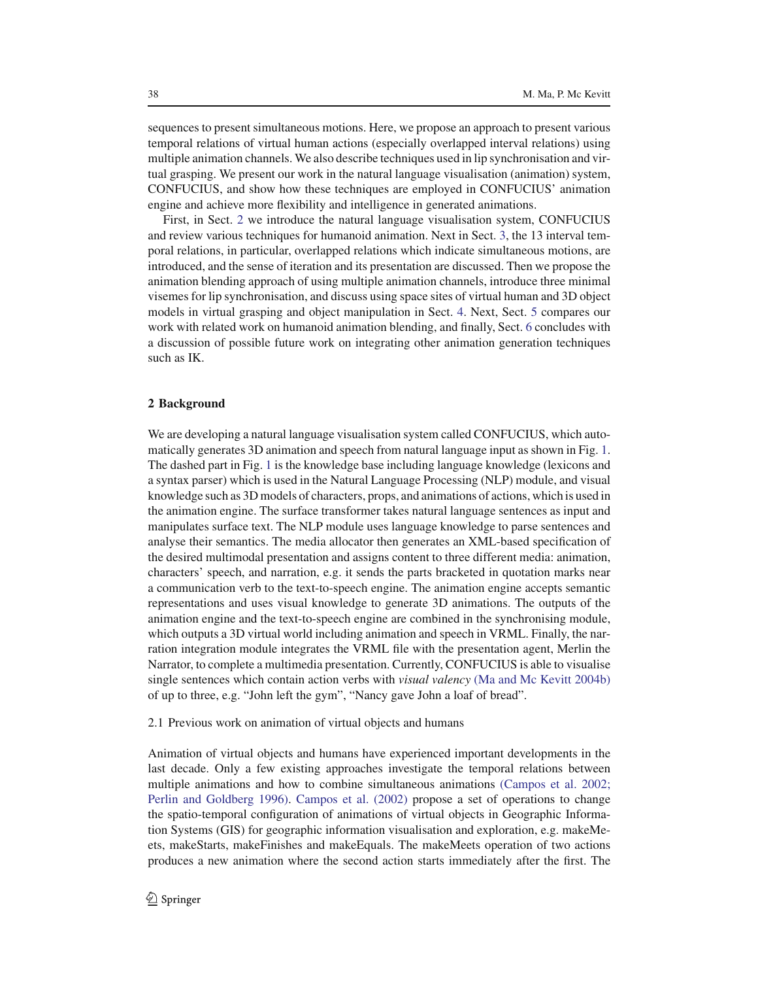sequences to present simultaneous motions. Here, we propose an approach to present various temporal relations of virtual human actions (especially overlapped interval relations) using multiple animation channels. We also describe techniques used in lip synchronisation and virtual grasping. We present our work in the natural language visualisation (animation) system, CONFUCIUS, and show how these techniques are employed in CONFUCIUS' animation engine and achieve more flexibility and intelligence in generated animations.

First, in Sect. 2 we introduce the natural language visualisation system, CONFUCIUS and review various techniques for humanoid animation. Next in Sect. 3, the 13 interval temporal relations, in particular, overlapped relations which indicate simultaneous motions, are introduced, and the sense of iteration and its presentation are discussed. Then we propose the animation blending approach of using multiple animation channels, introduce three minimal visemes for lip synchronisation, and discuss using space sites of virtual human and 3D object models in virtual grasping and object manipulation in Sect. 4. Next, Sect. 5 compares our work with related work on humanoid animation blending, and finally, Sect. 6 concludes with a discussion of possible future work on integrating other animation generation techniques such as IK.

# **2 Background**

We are developing a natural language visualisation system called CONFUCIUS, which automatically generates 3D animation and speech from natural language input as shown in Fig. 1. The dashed part in Fig. 1 is the knowledge base including language knowledge (lexicons and a syntax parser) which is used in the Natural Language Processing (NLP) module, and visual knowledge such as 3D models of characters, props, and animations of actions, which is used in the animation engine. The surface transformer takes natural language sentences as input and manipulates surface text. The NLP module uses language knowledge to parse sentences and analyse their semantics. The media allocator then generates an XML-based specification of the desired multimodal presentation and assigns content to three different media: animation, characters' speech, and narration, e.g. it sends the parts bracketed in quotation marks near a communication verb to the text-to-speech engine. The animation engine accepts semantic representations and uses visual knowledge to generate 3D animations. The outputs of the animation engine and the text-to-speech engine are combined in the synchronising module, which outputs a 3D virtual world including animation and speech in VRML. Finally, the narration integration module integrates the VRML file with the presentation agent, Merlin the Narrator, to complete a multimedia presentation. Currently, CONFUCIUS is able to visualise single sentences which contain action verbs with *visual valency* (Ma and Mc Kevitt 2004b) of up to three, e.g. "John left the gym", "Nancy gave John a loaf of bread".

2.1 Previous work on animation of virtual objects and humans

Animation of virtual objects and humans have experienced important developments in the last decade. Only a few existing approaches investigate the temporal relations between multiple animations and how to combine simultaneous animations (Campos et al. 2002; Perlin and Goldberg 1996). Campos et al. (2002) propose a set of operations to change the spatio-temporal configuration of animations of virtual objects in Geographic Information Systems (GIS) for geographic information visualisation and exploration, e.g. makeMeets, makeStarts, makeFinishes and makeEquals. The makeMeets operation of two actions produces a new animation where the second action starts immediately after the first. The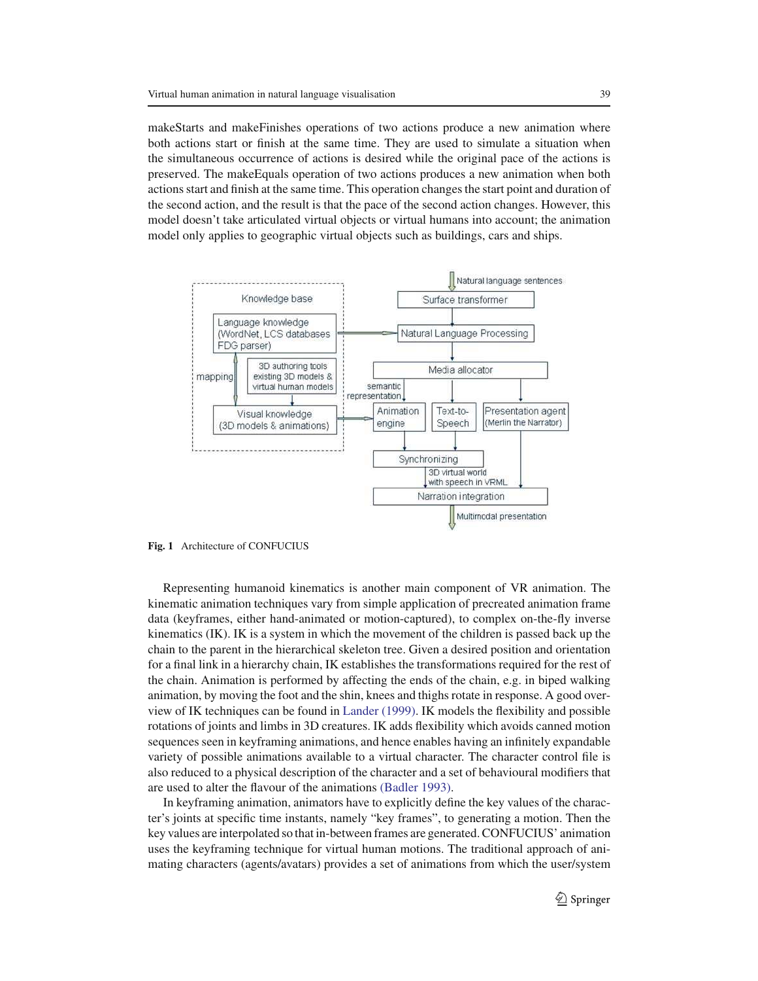makeStarts and makeFinishes operations of two actions produce a new animation where both actions start or finish at the same time. They are used to simulate a situation when the simultaneous occurrence of actions is desired while the original pace of the actions is preserved. The makeEquals operation of two actions produces a new animation when both actions start and finish at the same time. This operation changes the start point and duration of the second action, and the result is that the pace of the second action changes. However, this model doesn't take articulated virtual objects or virtual humans into account; the animation model only applies to geographic virtual objects such as buildings, cars and ships.



**Fig. 1** Architecture of CONFUCIUS

Representing humanoid kinematics is another main component of VR animation. The kinematic animation techniques vary from simple application of precreated animation frame data (keyframes, either hand-animated or motion-captured), to complex on-the-fly inverse kinematics (IK). IK is a system in which the movement of the children is passed back up the chain to the parent in the hierarchical skeleton tree. Given a desired position and orientation for a final link in a hierarchy chain, IK establishes the transformations required for the rest of the chain. Animation is performed by affecting the ends of the chain, e.g. in biped walking animation, by moving the foot and the shin, knees and thighs rotate in response. A good overview of IK techniques can be found in Lander (1999). IK models the flexibility and possible rotations of joints and limbs in 3D creatures. IK adds flexibility which avoids canned motion sequences seen in keyframing animations, and hence enables having an infinitely expandable variety of possible animations available to a virtual character. The character control file is also reduced to a physical description of the character and a set of behavioural modifiers that are used to alter the flavour of the animations (Badler 1993).

In keyframing animation, animators have to explicitly define the key values of the character's joints at specific time instants, namely "key frames", to generating a motion. Then the key values are interpolated so that in-between frames are generated. CONFUCIUS' animation uses the keyframing technique for virtual human motions. The traditional approach of animating characters (agents/avatars) provides a set of animations from which the user/system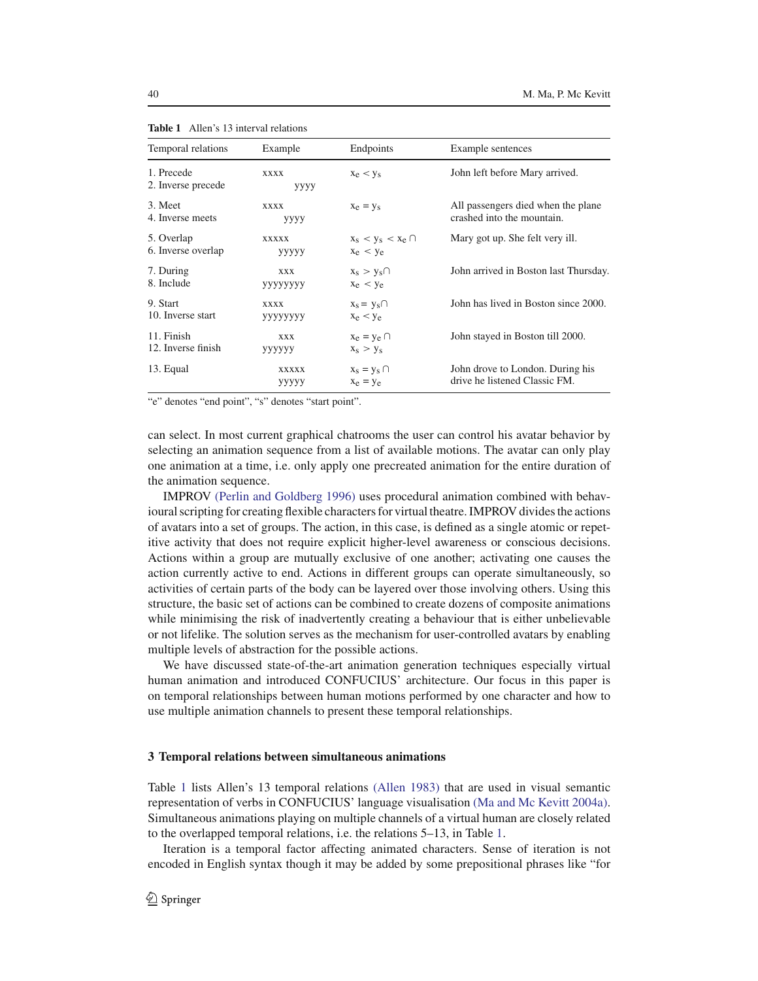| Temporal relations               | Example             | Endpoints              | Example sentences                     |
|----------------------------------|---------------------|------------------------|---------------------------------------|
| 1. Precede<br>2. Inverse precede | <b>XXXX</b><br>уууу | $x_e < y_s$            | John left before Mary arrived.        |
| 3. Meet                          | <b>XXXX</b>         | $x_e = y_s$            | All passengers died when the plane    |
| 4. Inverse meets                 | уууу                |                        | crashed into the mountain.            |
| 5. Overlap                       | <b>XXXXX</b>        | $x_s < y_s < x_e \cap$ | Mary got up. She felt very ill.       |
| 6. Inverse overlap               | ууууу               | $x_e < y_e$            |                                       |
| 7. During                        | <b>XXX</b>          | $X_{S} > Y_{S} \cap$   | John arrived in Boston last Thursday. |
| 8. Include                       | ууууууу             | $x_e$ < $y_e$          |                                       |
| 9. Start                         | <b>XXXX</b>         | $x_s = y_s \cap$       | John has lived in Boston since 2000.  |
| 10. Inverse start                | ууууууу             | $x_e < y_e$            |                                       |
| 11. Finish                       | <b>XXX</b>          | $x_e = y_e \cap$       | John stayed in Boston till 2000.      |
| 12. Inverse finish               | уууууу              | $x_s > y_s$            |                                       |
| 13. Equal                        | <b>XXXXX</b>        | $X_S = Y_S \cap$       | John drove to London. During his      |
|                                  | ууууу               | $x_e = y_e$            | drive he listened Classic FM.         |

**Table 1** Allen's 13 interval relations

"e" denotes "end point", "s" denotes "start point".

can select. In most current graphical chatrooms the user can control his avatar behavior by selecting an animation sequence from a list of available motions. The avatar can only play one animation at a time, i.e. only apply one precreated animation for the entire duration of the animation sequence.

IMPROV (Perlin and Goldberg 1996) uses procedural animation combined with behavioural scripting for creating flexible characters for virtual theatre. IMPROV divides the actions of avatars into a set of groups. The action, in this case, is defined as a single atomic or repetitive activity that does not require explicit higher-level awareness or conscious decisions. Actions within a group are mutually exclusive of one another; activating one causes the action currently active to end. Actions in different groups can operate simultaneously, so activities of certain parts of the body can be layered over those involving others. Using this structure, the basic set of actions can be combined to create dozens of composite animations while minimising the risk of inadvertently creating a behaviour that is either unbelievable or not lifelike. The solution serves as the mechanism for user-controlled avatars by enabling multiple levels of abstraction for the possible actions.

We have discussed state-of-the-art animation generation techniques especially virtual human animation and introduced CONFUCIUS' architecture. Our focus in this paper is on temporal relationships between human motions performed by one character and how to use multiple animation channels to present these temporal relationships.

## **3 Temporal relations between simultaneous animations**

Table 1 lists Allen's 13 temporal relations (Allen 1983) that are used in visual semantic representation of verbs in CONFUCIUS' language visualisation (Ma and Mc Kevitt 2004a). Simultaneous animations playing on multiple channels of a virtual human are closely related to the overlapped temporal relations, i.e. the relations 5–13, in Table 1.

Iteration is a temporal factor affecting animated characters. Sense of iteration is not encoded in English syntax though it may be added by some prepositional phrases like "for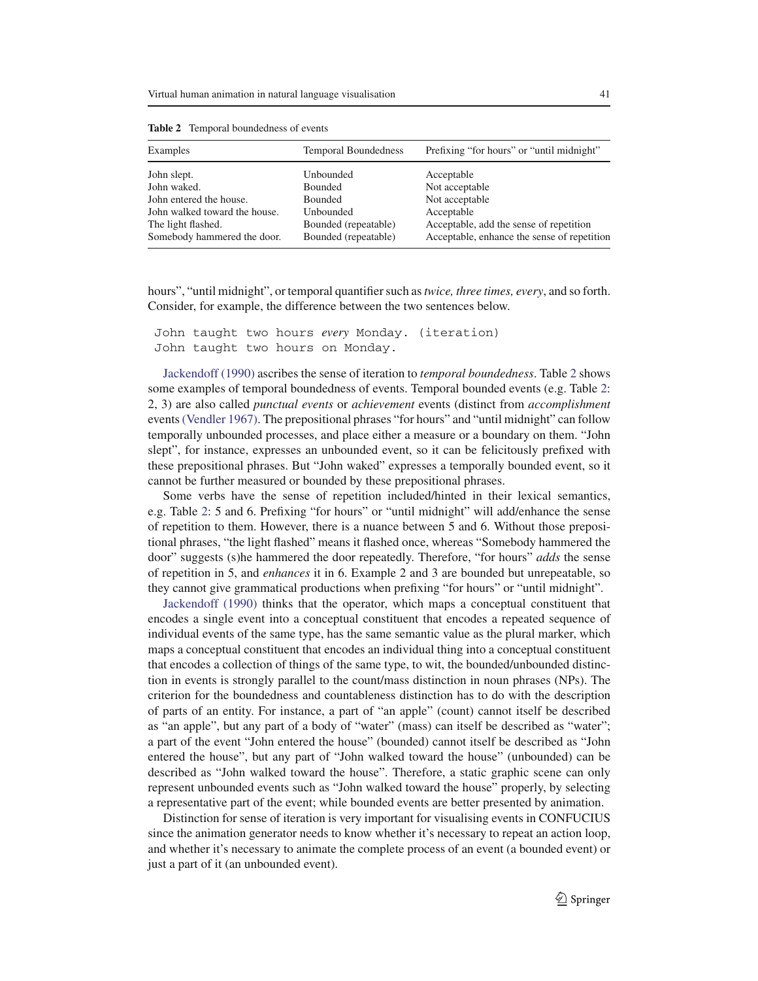| Examples                      | <b>Temporal Boundedness</b> | Prefixing "for hours" or "until midnight"   |
|-------------------------------|-----------------------------|---------------------------------------------|
| John slept.                   | Unbounded                   | Acceptable                                  |
| John waked.                   | Bounded                     | Not acceptable                              |
| John entered the house.       | Bounded                     | Not acceptable                              |
| John walked toward the house. | Unbounded                   | Acceptable                                  |
| The light flashed.            | Bounded (repeatable)        | Acceptable, add the sense of repetition     |
| Somebody hammered the door.   | Bounded (repeatable)        | Acceptable, enhance the sense of repetition |

**Table 2** Temporal boundedness of events

hours", "until midnight", or temporal quantifier such as*twice, three times, every*, and so forth. Consider, for example, the difference between the two sentences below.

John taught two hours *every* Monday. (iteration) John taught two hours on Monday.

Jackendoff (1990) ascribes the sense of iteration to *temporal boundedness*. Table 2 shows some examples of temporal boundedness of events. Temporal bounded events (e.g. Table 2: 2, 3) are also called *punctual events* or *achievement* events (distinct from *accomplishment* events(Vendler 1967). The prepositional phrases "for hours" and "until midnight" can follow temporally unbounded processes, and place either a measure or a boundary on them. "John slept", for instance, expresses an unbounded event, so it can be felicitously prefixed with these prepositional phrases. But "John waked" expresses a temporally bounded event, so it cannot be further measured or bounded by these prepositional phrases.

Some verbs have the sense of repetition included/hinted in their lexical semantics, e.g. Table 2: 5 and 6. Prefixing "for hours" or "until midnight" will add/enhance the sense of repetition to them. However, there is a nuance between 5 and 6. Without those prepositional phrases, "the light flashed" means it flashed once, whereas "Somebody hammered the door" suggests (s)he hammered the door repeatedly. Therefore, "for hours" *adds* the sense of repetition in 5, and *enhances* it in 6. Example 2 and 3 are bounded but unrepeatable, so they cannot give grammatical productions when prefixing "for hours" or "until midnight".

Jackendoff (1990) thinks that the operator, which maps a conceptual constituent that encodes a single event into a conceptual constituent that encodes a repeated sequence of individual events of the same type, has the same semantic value as the plural marker, which maps a conceptual constituent that encodes an individual thing into a conceptual constituent that encodes a collection of things of the same type, to wit, the bounded/unbounded distinction in events is strongly parallel to the count/mass distinction in noun phrases (NPs). The criterion for the boundedness and countableness distinction has to do with the description of parts of an entity. For instance, a part of "an apple" (count) cannot itself be described as "an apple", but any part of a body of "water" (mass) can itself be described as "water"; a part of the event "John entered the house" (bounded) cannot itself be described as "John entered the house", but any part of "John walked toward the house" (unbounded) can be described as "John walked toward the house". Therefore, a static graphic scene can only represent unbounded events such as "John walked toward the house" properly, by selecting a representative part of the event; while bounded events are better presented by animation.

Distinction for sense of iteration is very important for visualising events in CONFUCIUS since the animation generator needs to know whether it's necessary to repeat an action loop, and whether it's necessary to animate the complete process of an event (a bounded event) or just a part of it (an unbounded event).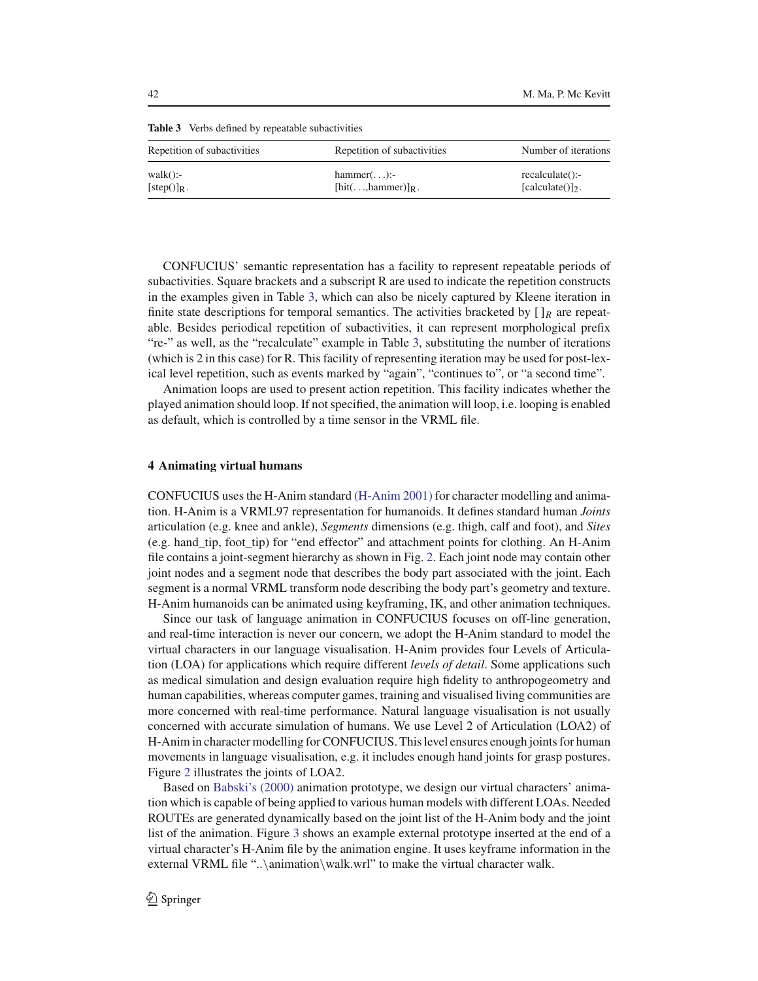| Repetition of subactivities   | Repetition of subactivities                             | Number of iterations                  |  |
|-------------------------------|---------------------------------------------------------|---------------------------------------|--|
| $walk()$ :-<br>$[step()]_R$ . | $hammer(\ldots):$<br>$[hit(\ldots, \text{hammer})]_R$ . | $recalculate$ :-<br>$[calculate()]$ . |  |

**Table 3** Verbs defined by repeatable subactivities

CONFUCIUS' semantic representation has a facility to represent repeatable periods of subactivities. Square brackets and a subscript R are used to indicate the repetition constructs in the examples given in Table 3, which can also be nicely captured by Kleene iteration in finite state descriptions for temporal semantics. The activities bracketed by  $[\,]_R$  are repeatable. Besides periodical repetition of subactivities, it can represent morphological prefix "re-" as well, as the "recalculate" example in Table 3, substituting the number of iterations (which is 2 in this case) for R. This facility of representing iteration may be used for post-lexical level repetition, such as events marked by "again", "continues to", or "a second time".

Animation loops are used to present action repetition. This facility indicates whether the played animation should loop. If not specified, the animation will loop, i.e. looping is enabled as default, which is controlled by a time sensor in the VRML file.

## **4 Animating virtual humans**

CONFUCIUS uses the H-Anim standard (H-Anim 2001) for character modelling and animation. H-Anim is a VRML97 representation for humanoids. It defines standard human *Joints* articulation (e.g. knee and ankle), *Segments* dimensions (e.g. thigh, calf and foot), and *Sites* (e.g. hand\_tip, foot\_tip) for "end effector" and attachment points for clothing. An H-Anim file contains a joint-segment hierarchy as shown in Fig. 2. Each joint node may contain other joint nodes and a segment node that describes the body part associated with the joint. Each segment is a normal VRML transform node describing the body part's geometry and texture. H-Anim humanoids can be animated using keyframing, IK, and other animation techniques.

Since our task of language animation in CONFUCIUS focuses on off-line generation, and real-time interaction is never our concern, we adopt the H-Anim standard to model the virtual characters in our language visualisation. H-Anim provides four Levels of Articulation (LOA) for applications which require different *levels of detail*. Some applications such as medical simulation and design evaluation require high fidelity to anthropogeometry and human capabilities, whereas computer games, training and visualised living communities are more concerned with real-time performance. Natural language visualisation is not usually concerned with accurate simulation of humans. We use Level 2 of Articulation (LOA2) of H-Anim in character modelling for CONFUCIUS. This level ensures enough joints for human movements in language visualisation, e.g. it includes enough hand joints for grasp postures. Figure 2 illustrates the joints of LOA2.

Based on Babski's (2000) animation prototype, we design our virtual characters' animation which is capable of being applied to various human models with different LOAs. Needed ROUTEs are generated dynamically based on the joint list of the H-Anim body and the joint list of the animation. Figure 3 shows an example external prototype inserted at the end of a virtual character's H-Anim file by the animation engine. It uses keyframe information in the external VRML file "..\animation\walk.wrl" to make the virtual character walk.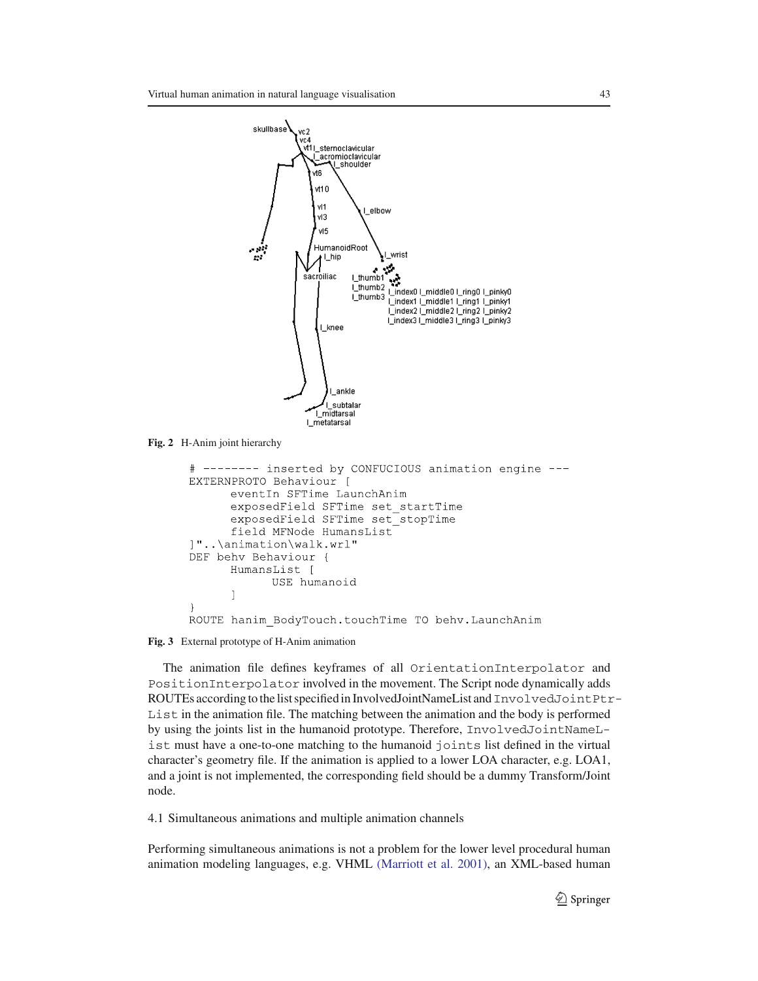

**Fig. 2** H-Anim joint hierarchy

```
# -------- inserted by CONFUCIOUS animation engine ---
EXTERNPROTO Behaviour [
     eventIn SFTime LaunchAnim
     exposedField SFTime set startTime
     exposedField SFTime set stopTime
     field MFNode HumansList
]"..\animation\walk.wrl"
DEF behv Behaviour {
     HumansList [
           USE humanoid
ROUTE hanim BodyTouch.touchTime TO behv.LaunchAnim
```
**Fig. 3** External prototype of H-Anim animation

The animation file defines keyframes of all OrientationInterpolator and PositionInterpolator involved in the movement. The Script node dynamically adds ROUTEs according to the list specified in InvolvedJointNameList and InvolvedJointPtr-List in the animation file. The matching between the animation and the body is performed by using the joints list in the humanoid prototype. Therefore, InvolvedJointNameList must have a one-to-one matching to the humanoid joints list defined in the virtual character's geometry file. If the animation is applied to a lower LOA character, e.g. LOA1, and a joint is not implemented, the corresponding field should be a dummy Transform/Joint node.

4.1 Simultaneous animations and multiple animation channels

Performing simultaneous animations is not a problem for the lower level procedural human animation modeling languages, e.g. VHML (Marriott et al. 2001), an XML-based human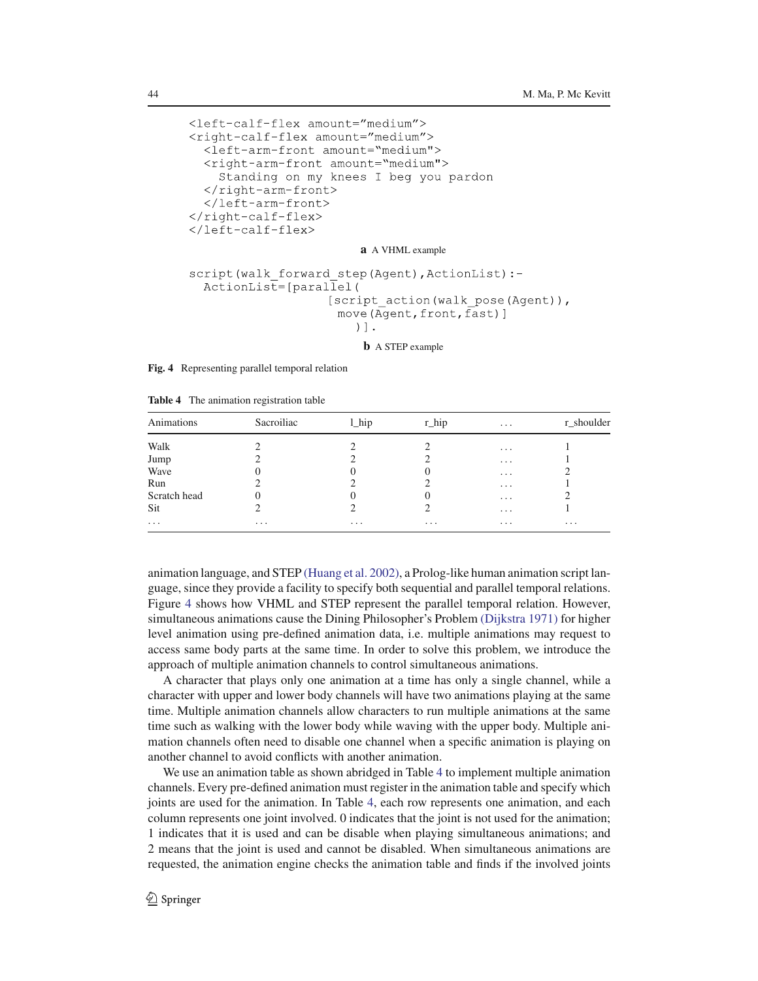```
<left-calf-flex amount="medium">
<right-calf-flex amount="medium">
 <left-arm-front amount="medium">
 <right-arm-front amount="medium">
    Standing on my knees I beg you pardon
 </right-arm-front>
 </left-arm-front>
</right-calf-flex>
</left-calf-flex>
                        a A VHML example
```

```
script (walk forward step (Agent), ActionList) :-
  ActionList=[parallel(
                    [script action (walk pose (Agent)),
                      move (Agent, front, fast) ]
                         )].
```
**b** A STEP example

**Fig. 4** Representing parallel temporal relation

**Table 4** The animation registration table

| Animations   | Sacroiliac | 1_hip    | r_hip    | $\cdots$ | r shoulder |
|--------------|------------|----------|----------|----------|------------|
| Walk         |            |          |          | $\cdot$  |            |
|              |            |          |          | $\cdot$  |            |
| Jump<br>Wave | 0          |          |          | $\cdot$  |            |
| Run          |            |          |          | $\cdots$ |            |
| Scratch head | 0          |          |          | $\cdot$  |            |
| Sit          |            |          |          | $\cdot$  |            |
| $\cdots$     | $\cdots$   | $\cdots$ | $\cdots$ | $\cdots$ | $\cdots$   |

animation language, and STEP (Huang et al. 2002), a Prolog-like human animation script language, since they provide a facility to specify both sequential and parallel temporal relations. Figure 4 shows how VHML and STEP represent the parallel temporal relation. However, simultaneous animations cause the Dining Philosopher's Problem (Dijkstra 1971) for higher level animation using pre-defined animation data, i.e. multiple animations may request to access same body parts at the same time. In order to solve this problem, we introduce the approach of multiple animation channels to control simultaneous animations.

A character that plays only one animation at a time has only a single channel, while a character with upper and lower body channels will have two animations playing at the same time. Multiple animation channels allow characters to run multiple animations at the same time such as walking with the lower body while waving with the upper body. Multiple animation channels often need to disable one channel when a specific animation is playing on another channel to avoid conflicts with another animation.

We use an animation table as shown abridged in Table 4 to implement multiple animation channels. Every pre-defined animation must register in the animation table and specify which joints are used for the animation. In Table 4, each row represents one animation, and each column represents one joint involved. 0 indicates that the joint is not used for the animation; 1 indicates that it is used and can be disable when playing simultaneous animations; and 2 means that the joint is used and cannot be disabled. When simultaneous animations are requested, the animation engine checks the animation table and finds if the involved joints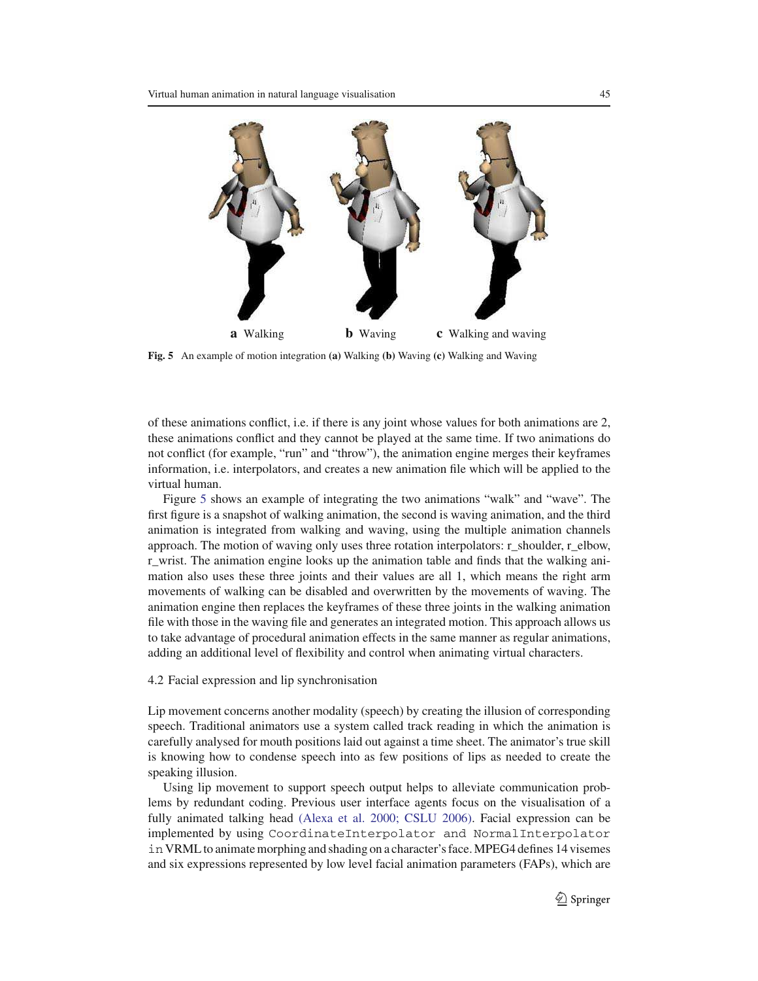

**Fig. 5** An example of motion integration **(a)** Walking **(b)** Waving **(c)** Walking and Waving

of these animations conflict, i.e. if there is any joint whose values for both animations are 2, these animations conflict and they cannot be played at the same time. If two animations do not conflict (for example, "run" and "throw"), the animation engine merges their keyframes information, i.e. interpolators, and creates a new animation file which will be applied to the virtual human.

Figure 5 shows an example of integrating the two animations "walk" and "wave". The first figure is a snapshot of walking animation, the second is waving animation, and the third animation is integrated from walking and waving, using the multiple animation channels approach. The motion of waving only uses three rotation interpolators: r\_shoulder, r\_elbow, r wrist. The animation engine looks up the animation table and finds that the walking animation also uses these three joints and their values are all 1, which means the right arm movements of walking can be disabled and overwritten by the movements of waving. The animation engine then replaces the keyframes of these three joints in the walking animation file with those in the waving file and generates an integrated motion. This approach allows us to take advantage of procedural animation effects in the same manner as regular animations, adding an additional level of flexibility and control when animating virtual characters.

# 4.2 Facial expression and lip synchronisation

Lip movement concerns another modality (speech) by creating the illusion of corresponding speech. Traditional animators use a system called track reading in which the animation is carefully analysed for mouth positions laid out against a time sheet. The animator's true skill is knowing how to condense speech into as few positions of lips as needed to create the speaking illusion.

Using lip movement to support speech output helps to alleviate communication problems by redundant coding. Previous user interface agents focus on the visualisation of a fully animated talking head (Alexa et al. 2000; CSLU 2006). Facial expression can be implemented by using CoordinateInterpolator and NormalInterpolator in VRML to animate morphing and shading on a character's face. MPEG4 defines 14 visemes and six expressions represented by low level facial animation parameters (FAPs), which are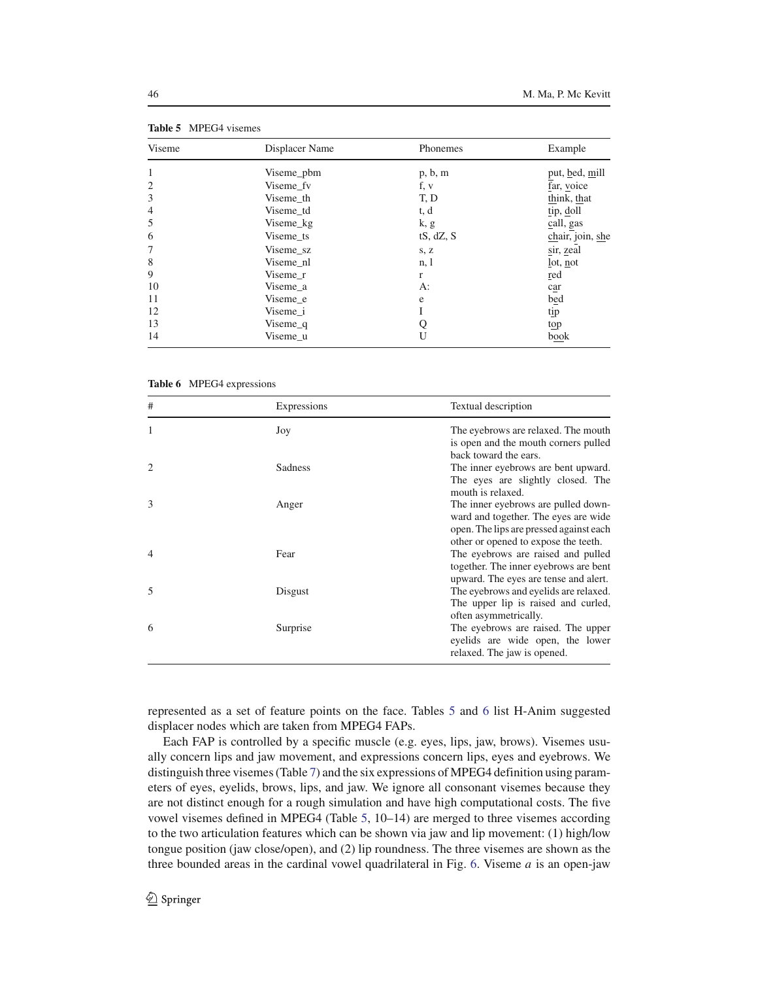| <b>LADIC</b> $\theta$ <b>IVILLOT</b> VISCHICS<br>Viseme | Displacer Name | Phonemes  | Example          |
|---------------------------------------------------------|----------------|-----------|------------------|
|                                                         |                |           |                  |
| 1                                                       | Viseme_pbm     | p, b, m   | put, bed, mill   |
| $\overline{2}$                                          | Viseme fy      | f, v      | far, voice       |
| 3                                                       | Viseme th      | T, D      | think, that      |
| $\overline{4}$                                          | Viseme td      | t, d      | tip, doll        |
| 5                                                       | Viseme_kg      | k, g      | call, gas        |
| 6                                                       | Viseme_ts      | tS, dZ, S | chair, join, she |
| 7                                                       | Viseme_sz      | S, Z      | sir, zeal        |
| 8                                                       | Viseme nl      | n, 1      | lot, not         |
| 9                                                       | Viseme r       | r         | red              |
| 10                                                      | Viseme a       | A:        | car              |
| 11                                                      | Viseme e       | e         | bed              |
| 12                                                      | Viseme_i       |           | tip              |
| 13                                                      | Viseme $_q$    | Q         | top              |
| 14                                                      | Viseme_u       | U         | book             |

**Table 5** MPEG4 visemes

**Table 6** MPEG4 expressions

| #                        | Expressions    | Textual description                                                                                                                            |
|--------------------------|----------------|------------------------------------------------------------------------------------------------------------------------------------------------|
| 1                        | Joy            | The eyebrows are relaxed. The mouth<br>is open and the mouth corners pulled                                                                    |
| $\overline{2}$           | <b>Sadness</b> | back toward the ears.<br>The inner eyebrows are bent upward.<br>The eyes are slightly closed. The<br>mouth is relaxed.                         |
| 3                        | Anger          | The inner eyebrows are pulled down-<br>ward and together. The eyes are wide<br>open. The lips are pressed against each                         |
| 4                        | Fear           | other or opened to expose the teeth.<br>The eyebrows are raised and pulled<br>together. The inner eyebrows are bent                            |
| $\overline{\phantom{1}}$ | Disgust        | upward. The eyes are tense and alert.<br>The eyebrows and eyelids are relaxed.<br>The upper lip is raised and curled,<br>often asymmetrically. |
| 6                        | Surprise       | The eyebrows are raised. The upper<br>eyelids are wide open, the lower<br>relaxed. The jaw is opened.                                          |

represented as a set of feature points on the face. Tables 5 and 6 list H-Anim suggested displacer nodes which are taken from MPEG4 FAPs.

Each FAP is controlled by a specific muscle (e.g. eyes, lips, jaw, brows). Visemes usually concern lips and jaw movement, and expressions concern lips, eyes and eyebrows. We distinguish three visemes (Table 7) and the six expressions of MPEG4 definition using parameters of eyes, eyelids, brows, lips, and jaw. We ignore all consonant visemes because they are not distinct enough for a rough simulation and have high computational costs. The five vowel visemes defined in MPEG4 (Table 5, 10–14) are merged to three visemes according to the two articulation features which can be shown via jaw and lip movement: (1) high/low tongue position (jaw close/open), and (2) lip roundness. The three visemes are shown as the three bounded areas in the cardinal vowel quadrilateral in Fig. 6. Viseme *a* is an open-jaw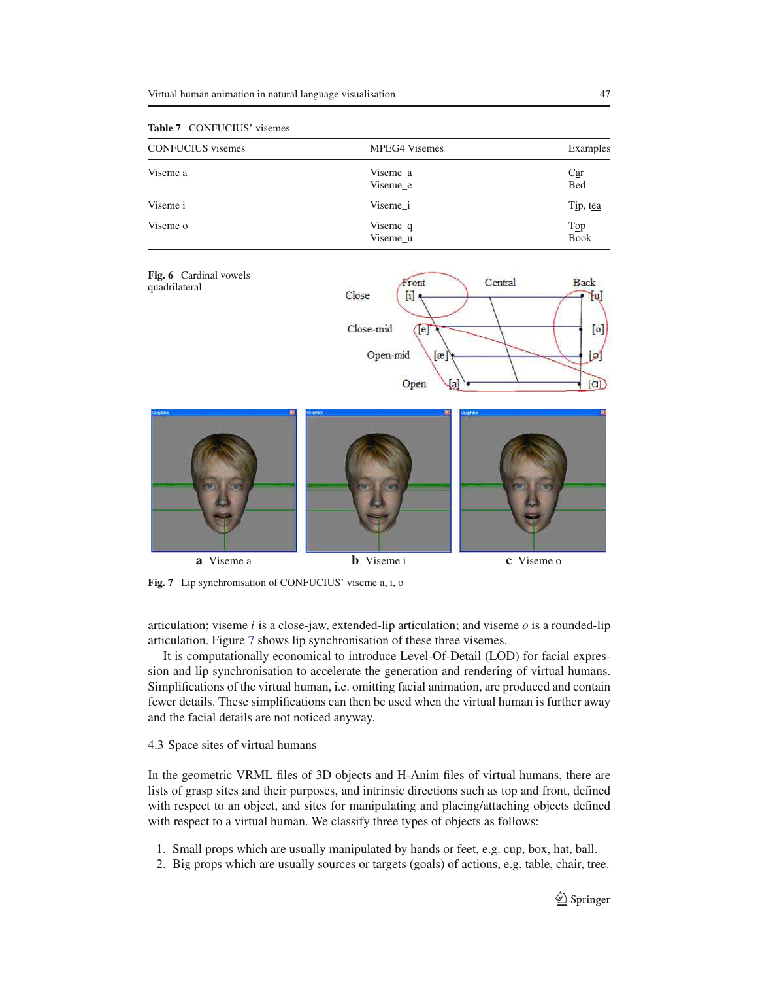| <b>CONFUCIUS</b> visemes | <b>MPEG4 Visemes</b>            | Examples                    |
|--------------------------|---------------------------------|-----------------------------|
| Viseme a                 | Viseme_a<br>Viseme e            | $C_{\underline{a}r}$<br>Bed |
| Viseme i                 | Viseme i                        | Tip, tea                    |
| Viseme o                 | Viseme <sub>q</sub><br>Viseme u | Top<br><b>Book</b>          |

**Table 7** CONFUCIUS' visemes







**Fig. 7** Lip synchronisation of CONFUCIUS' viseme a, i, o

articulation; viseme *i* is a close-jaw, extended-lip articulation; and viseme *o* is a rounded-lip articulation. Figure 7 shows lip synchronisation of these three visemes.

It is computationally economical to introduce Level-Of-Detail (LOD) for facial expression and lip synchronisation to accelerate the generation and rendering of virtual humans. Simplifications of the virtual human, i.e. omitting facial animation, are produced and contain fewer details. These simplifications can then be used when the virtual human is further away and the facial details are not noticed anyway.

# 4.3 Space sites of virtual humans

In the geometric VRML files of 3D objects and H-Anim files of virtual humans, there are lists of grasp sites and their purposes, and intrinsic directions such as top and front, defined with respect to an object, and sites for manipulating and placing/attaching objects defined with respect to a virtual human. We classify three types of objects as follows:

- 1. Small props which are usually manipulated by hands or feet, e.g. cup, box, hat, ball.
- 2. Big props which are usually sources or targets (goals) of actions, e.g. table, chair, tree.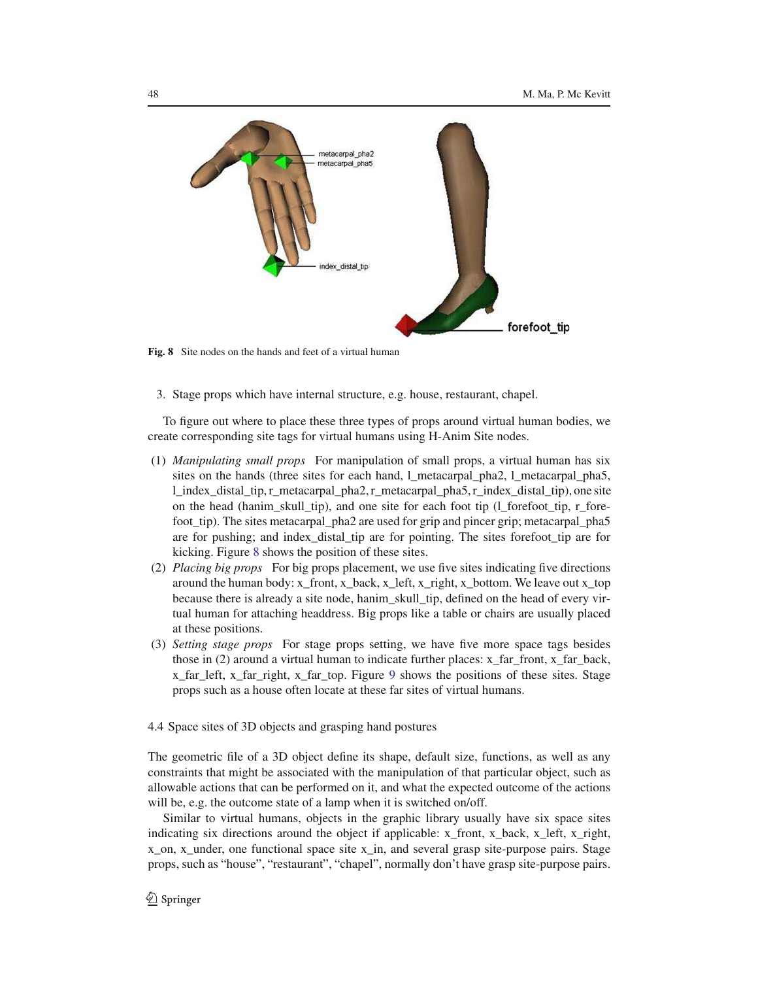

**Fig. 8** Site nodes on the hands and feet of a virtual human

3. Stage props which have internal structure, e.g. house, restaurant, chapel.

To figure out where to place these three types of props around virtual human bodies, we create corresponding site tags for virtual humans using H-Anim Site nodes.

- (1) *Manipulating small props* For manipulation of small props, a virtual human has six sites on the hands (three sites for each hand, l\_metacarpal\_pha2, l\_metacarpal\_pha5, l\_index\_distal\_tip, r\_metacarpal\_pha2, r\_metacarpal\_pha5, r\_index\_distal\_tip), one site on the head (hanim skull tip), and one site for each foot tip (l\_forefoot tip, r\_forefoot tip). The sites metacarpal pha2 are used for grip and pincer grip; metacarpal pha5 are for pushing; and index\_distal\_tip are for pointing. The sites forefoot\_tip are for kicking. Figure 8 shows the position of these sites.
- (2) *Placing big props* For big props placement, we use five sites indicating five directions around the human body: x\_front, x\_back, x\_left, x\_right, x\_bottom. We leave out x\_top because there is already a site node, hanim\_skull\_tip, defined on the head of every virtual human for attaching headdress. Big props like a table or chairs are usually placed at these positions.
- (3) *Setting stage props* For stage props setting, we have five more space tags besides those in (2) around a virtual human to indicate further places: x\_far\_front, x\_far\_back, x\_far\_left, x\_far\_right, x\_far\_top. Figure 9 shows the positions of these sites. Stage props such as a house often locate at these far sites of virtual humans.
- 4.4 Space sites of 3D objects and grasping hand postures

The geometric file of a 3D object define its shape, default size, functions, as well as any constraints that might be associated with the manipulation of that particular object, such as allowable actions that can be performed on it, and what the expected outcome of the actions will be, e.g. the outcome state of a lamp when it is switched on/off.

Similar to virtual humans, objects in the graphic library usually have six space sites indicating six directions around the object if applicable: x\_front, x\_back, x\_left, x\_right, x\_on, x\_under, one functional space site x\_in, and several grasp site-purpose pairs. Stage props, such as "house", "restaurant", "chapel", normally don't have grasp site-purpose pairs.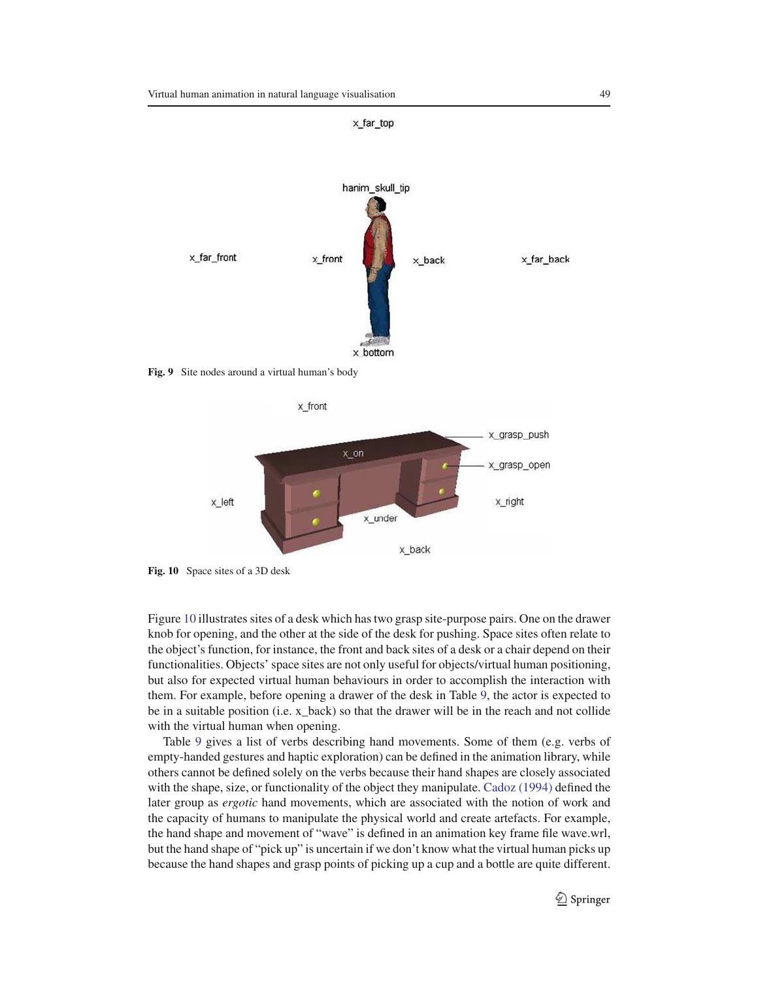

x\_far\_top

**Fig. 9** Site nodes around a virtual human's body



**Fig. 10** Space sites of a 3D desk

Figure 10 illustrates sites of a desk which has two grasp site-purpose pairs. One on the drawer knob for opening, and the other at the side of the desk for pushing. Space sites often relate to the object's function, for instance, the front and back sites of a desk or a chair depend on their functionalities. Objects' space sites are not only useful for objects/virtual human positioning, but also for expected virtual human behaviours in order to accomplish the interaction with them. For example, before opening a drawer of the desk in Table 9, the actor is expected to be in a suitable position (i.e. x\_back) so that the drawer will be in the reach and not collide with the virtual human when opening.

Table 9 gives a list of verbs describing hand movements. Some of them (e.g. verbs of empty-handed gestures and haptic exploration) can be defined in the animation library, while others cannot be defined solely on the verbs because their hand shapes are closely associated with the shape, size, or functionality of the object they manipulate. Cadoz (1994) defined the later group as *ergotic* hand movements, which are associated with the notion of work and the capacity of humans to manipulate the physical world and create artefacts. For example, the hand shape and movement of "wave" is defined in an animation key frame file wave.wrl, but the hand shape of "pick up" is uncertain if we don't know what the virtual human picks up because the hand shapes and grasp points of picking up a cup and a bottle are quite different.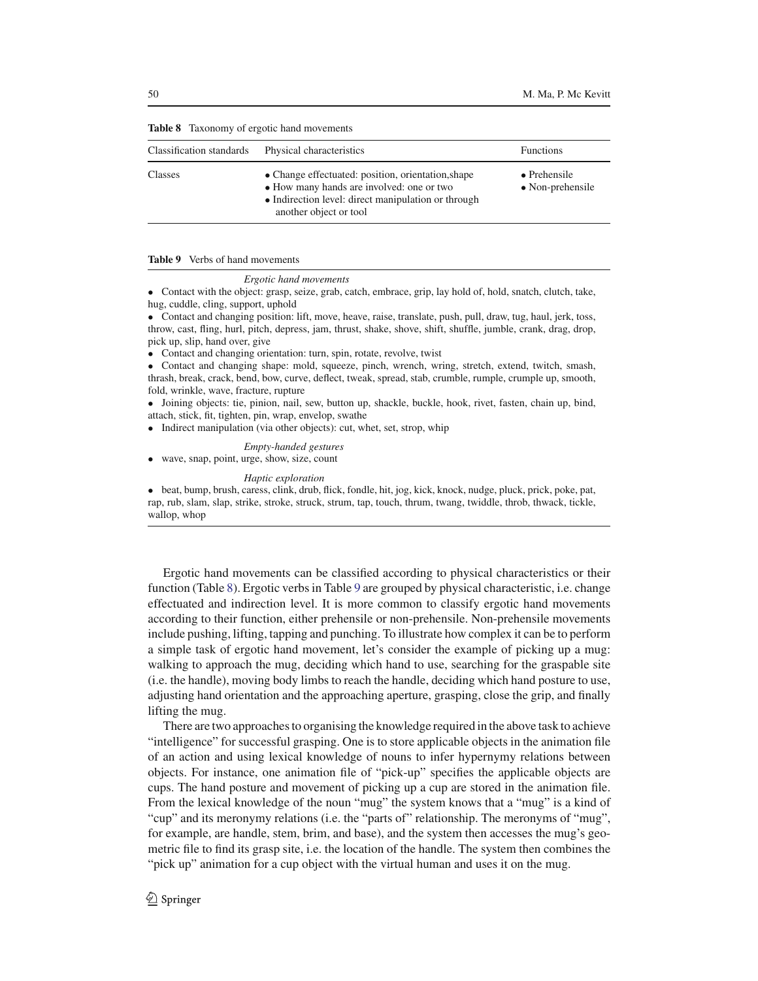| Classification standards | Physical characteristics                                                                                                                                                         | <b>Functions</b>                                 |
|--------------------------|----------------------------------------------------------------------------------------------------------------------------------------------------------------------------------|--------------------------------------------------|
| Classes                  | • Change effectuated: position, orientation, shape<br>• How many hands are involved: one or two<br>• Indirection level: direct manipulation or through<br>another object or tool | $\bullet$ Prehensile<br>$\bullet$ Non-prehensile |

**Table 8** Taxonomy of ergotic hand movements

#### **Table 9** Verbs of hand movements

#### *Ergotic hand movements*

• Contact with the object: grasp, seize, grab, catch, embrace, grip, lay hold of, hold, snatch, clutch, take, hug, cuddle, cling, support, uphold

• Contact and changing position: lift, move, heave, raise, translate, push, pull, draw, tug, haul, jerk, toss, throw, cast, fling, hurl, pitch, depress, jam, thrust, shake, shove, shift, shuffle, jumble, crank, drag, drop, pick up, slip, hand over, give

• Contact and changing orientation: turn, spin, rotate, revolve, twist

• Contact and changing shape: mold, squeeze, pinch, wrench, wring, stretch, extend, twitch, smash, thrash, break, crack, bend, bow, curve, deflect, tweak, spread, stab, crumble, rumple, crumple up, smooth, fold, wrinkle, wave, fracture, rupture

• Joining objects: tie, pinion, nail, sew, button up, shackle, buckle, hook, rivet, fasten, chain up, bind, attach, stick, fit, tighten, pin, wrap, envelop, swathe

• Indirect manipulation (via other objects): cut, whet, set, strop, whip

*Empty-handed gestures*

• wave, snap, point, urge, show, size, count

#### *Haptic exploration*

• beat, bump, brush, caress, clink, drub, flick, fondle, hit, jog, kick, knock, nudge, pluck, prick, poke, pat, rap, rub, slam, slap, strike, stroke, struck, strum, tap, touch, thrum, twang, twiddle, throb, thwack, tickle, wallop, whop

Ergotic hand movements can be classified according to physical characteristics or their function (Table 8). Ergotic verbs in Table 9 are grouped by physical characteristic, i.e. change effectuated and indirection level. It is more common to classify ergotic hand movements according to their function, either prehensile or non-prehensile. Non-prehensile movements include pushing, lifting, tapping and punching. To illustrate how complex it can be to perform a simple task of ergotic hand movement, let's consider the example of picking up a mug: walking to approach the mug, deciding which hand to use, searching for the graspable site (i.e. the handle), moving body limbs to reach the handle, deciding which hand posture to use, adjusting hand orientation and the approaching aperture, grasping, close the grip, and finally lifting the mug.

There are two approaches to organising the knowledge required in the above task to achieve "intelligence" for successful grasping. One is to store applicable objects in the animation file of an action and using lexical knowledge of nouns to infer hypernymy relations between objects. For instance, one animation file of "pick-up" specifies the applicable objects are cups. The hand posture and movement of picking up a cup are stored in the animation file. From the lexical knowledge of the noun "mug" the system knows that a "mug" is a kind of "cup" and its meronymy relations (i.e. the "parts of" relationship. The meronyms of "mug", for example, are handle, stem, brim, and base), and the system then accesses the mug's geometric file to find its grasp site, i.e. the location of the handle. The system then combines the "pick up" animation for a cup object with the virtual human and uses it on the mug.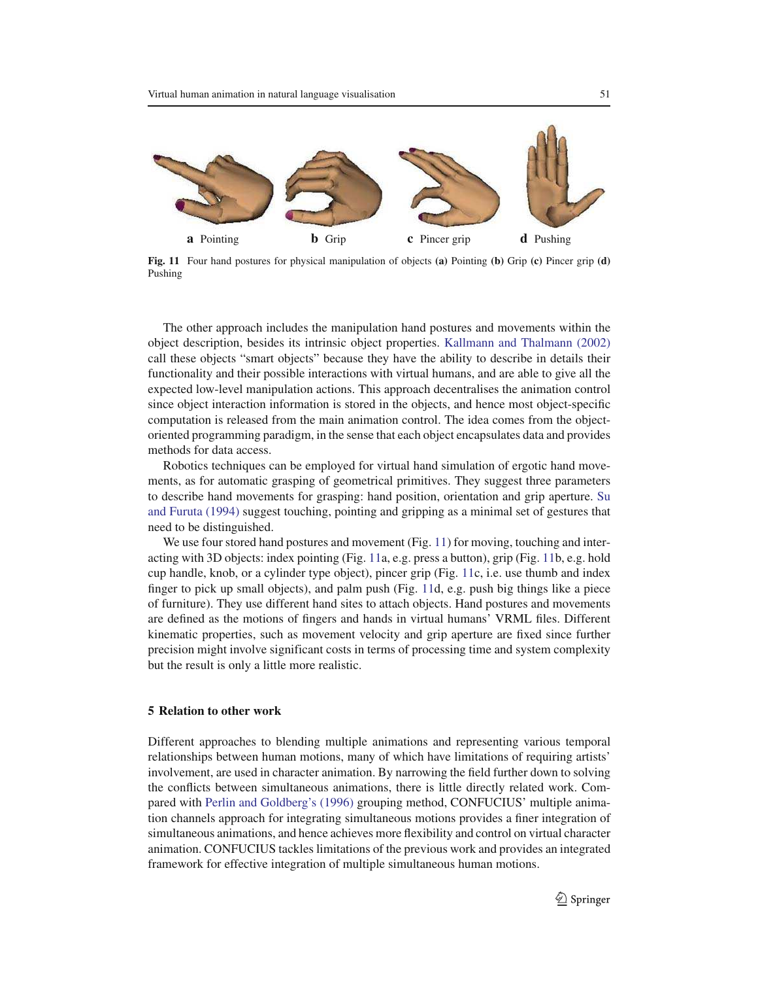

**Fig. 11** Four hand postures for physical manipulation of objects **(a)** Pointing **(b)** Grip **(c)** Pincer grip **(d)** Pushing

The other approach includes the manipulation hand postures and movements within the object description, besides its intrinsic object properties. Kallmann and Thalmann (2002) call these objects "smart objects" because they have the ability to describe in details their functionality and their possible interactions with virtual humans, and are able to give all the expected low-level manipulation actions. This approach decentralises the animation control since object interaction information is stored in the objects, and hence most object-specific computation is released from the main animation control. The idea comes from the objectoriented programming paradigm, in the sense that each object encapsulates data and provides methods for data access.

Robotics techniques can be employed for virtual hand simulation of ergotic hand movements, as for automatic grasping of geometrical primitives. They suggest three parameters to describe hand movements for grasping: hand position, orientation and grip aperture. Su and Furuta (1994) suggest touching, pointing and gripping as a minimal set of gestures that need to be distinguished.

We use four stored hand postures and movement (Fig. 11) for moving, touching and interacting with 3D objects: index pointing (Fig. 11a, e.g. press a button), grip (Fig. 11b, e.g. hold cup handle, knob, or a cylinder type object), pincer grip (Fig. 11c, i.e. use thumb and index finger to pick up small objects), and palm push (Fig. 11d, e.g. push big things like a piece of furniture). They use different hand sites to attach objects. Hand postures and movements are defined as the motions of fingers and hands in virtual humans' VRML files. Different kinematic properties, such as movement velocity and grip aperture are fixed since further precision might involve significant costs in terms of processing time and system complexity but the result is only a little more realistic.

## **5 Relation to other work**

Different approaches to blending multiple animations and representing various temporal relationships between human motions, many of which have limitations of requiring artists' involvement, are used in character animation. By narrowing the field further down to solving the conflicts between simultaneous animations, there is little directly related work. Compared with Perlin and Goldberg's (1996) grouping method, CONFUCIUS' multiple animation channels approach for integrating simultaneous motions provides a finer integration of simultaneous animations, and hence achieves more flexibility and control on virtual character animation. CONFUCIUS tackles limitations of the previous work and provides an integrated framework for effective integration of multiple simultaneous human motions.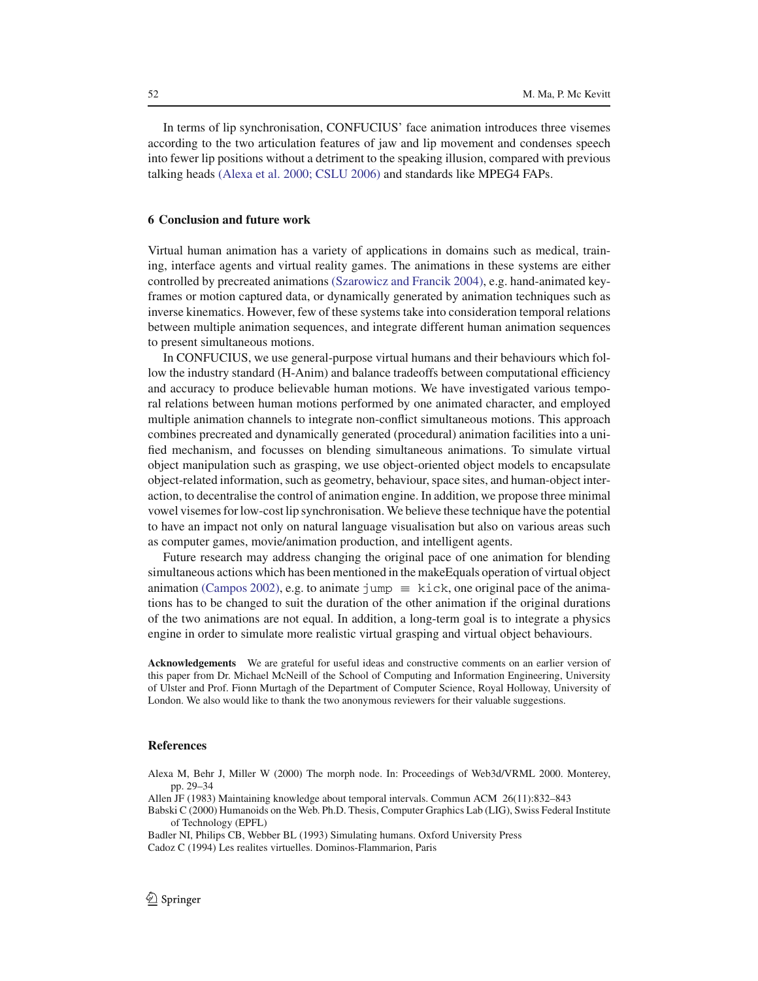In terms of lip synchronisation, CONFUCIUS' face animation introduces three visemes according to the two articulation features of jaw and lip movement and condenses speech into fewer lip positions without a detriment to the speaking illusion, compared with previous talking heads (Alexa et al. 2000; CSLU 2006) and standards like MPEG4 FAPs.

## **6 Conclusion and future work**

Virtual human animation has a variety of applications in domains such as medical, training, interface agents and virtual reality games. The animations in these systems are either controlled by precreated animations (Szarowicz and Francik 2004), e.g. hand-animated keyframes or motion captured data, or dynamically generated by animation techniques such as inverse kinematics. However, few of these systems take into consideration temporal relations between multiple animation sequences, and integrate different human animation sequences to present simultaneous motions.

In CONFUCIUS, we use general-purpose virtual humans and their behaviours which follow the industry standard (H-Anim) and balance tradeoffs between computational efficiency and accuracy to produce believable human motions. We have investigated various temporal relations between human motions performed by one animated character, and employed multiple animation channels to integrate non-conflict simultaneous motions. This approach combines precreated and dynamically generated (procedural) animation facilities into a unified mechanism, and focusses on blending simultaneous animations. To simulate virtual object manipulation such as grasping, we use object-oriented object models to encapsulate object-related information, such as geometry, behaviour, space sites, and human-object interaction, to decentralise the control of animation engine. In addition, we propose three minimal vowel visemes for low-cost lip synchronisation. We believe these technique have the potential to have an impact not only on natural language visualisation but also on various areas such as computer games, movie/animation production, and intelligent agents.

Future research may address changing the original pace of one animation for blending simultaneous actions which has been mentioned in the makeEquals operation of virtual object animation (Campos 2002), e.g. to animate jump  $\equiv$  kick, one original pace of the animations has to be changed to suit the duration of the other animation if the original durations of the two animations are not equal. In addition, a long-term goal is to integrate a physics engine in order to simulate more realistic virtual grasping and virtual object behaviours.

**Acknowledgements** We are grateful for useful ideas and constructive comments on an earlier version of this paper from Dr. Michael McNeill of the School of Computing and Information Engineering, University of Ulster and Prof. Fionn Murtagh of the Department of Computer Science, Royal Holloway, University of London. We also would like to thank the two anonymous reviewers for their valuable suggestions.

### **References**

Alexa M, Behr J, Miller W (2000) The morph node. In: Proceedings of Web3d/VRML 2000. Monterey, pp. 29–34

Allen JF (1983) Maintaining knowledge about temporal intervals. Commun ACM 26(11):832–843

Babski C (2000) Humanoids on the Web. Ph.D. Thesis, Computer Graphics Lab (LIG), Swiss Federal Institute of Technology (EPFL)

Badler NI, Philips CB, Webber BL (1993) Simulating humans. Oxford University Press Cadoz C (1994) Les realites virtuelles. Dominos-Flammarion, Paris